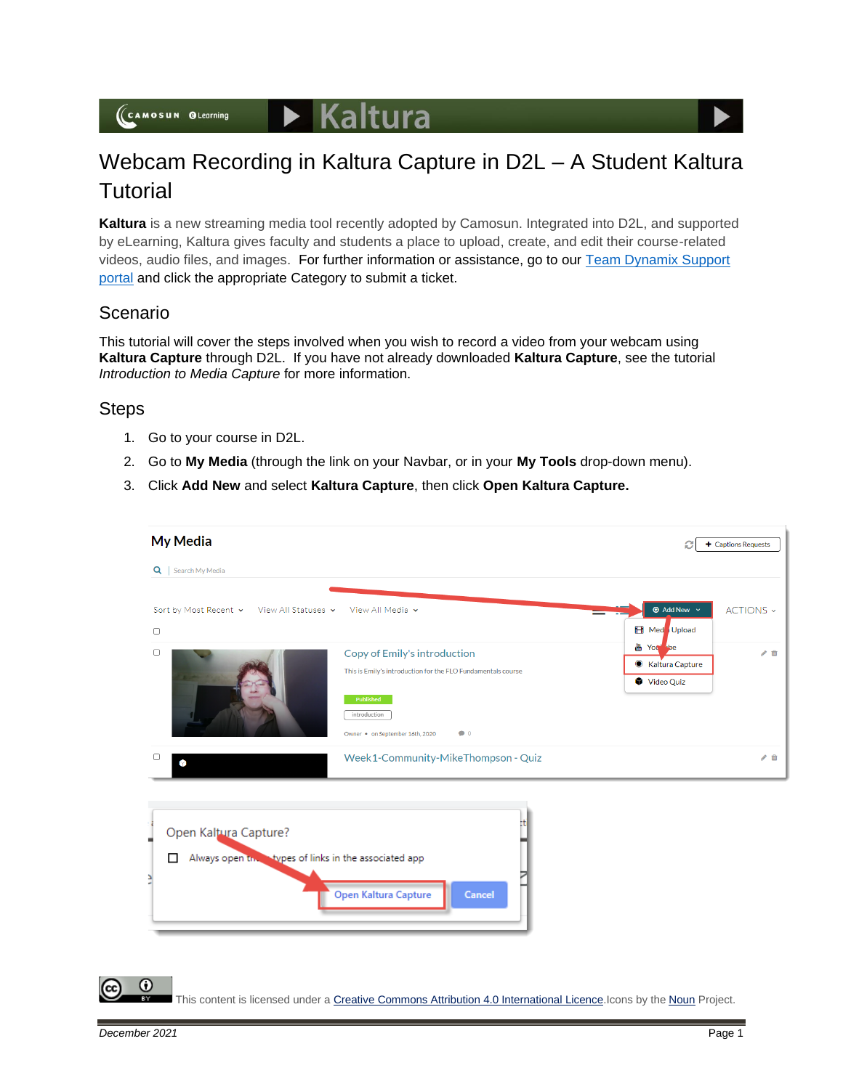## Webcam Recording in Kaltura Capture in D2L – A Student Kaltura **Tutorial**

**Kaltura** is a new streaming media tool recently adopted by Camosun. Integrated into D2L, and supported by eLearning, Kaltura gives faculty and students a place to upload, create, and edit their course-related videos, audio files, and images. For further information or assistance, go to our [Team Dynamix Support](https://camosun.teamdynamix.com/TDClient/67/Portal/Requests/ServiceCatalog?CategoryID=524)  [portal](https://camosun.teamdynamix.com/TDClient/67/Portal/Requests/ServiceCatalog?CategoryID=524) and click the appropriate Category to submit a ticket.

## Scenario

This tutorial will cover the steps involved when you wish to record a video from your webcam using **Kaltura Capture** through D2L. If you have not already downloaded **Kaltura Capture**, see the tutorial *Introduction to Media Capture* for more information.

## **Steps**

- 1. Go to your course in D2L.
- 2. Go to **My Media** (through the link on your Navbar, or in your **My Tools** drop-down menu).
- 3. Click **Add New** and select **Kaltura Capture**, then click **Open Kaltura Capture.**

| My Media                                                                                     |                                                                                                                                                                             | + Captions Requests<br>c                                     |
|----------------------------------------------------------------------------------------------|-----------------------------------------------------------------------------------------------------------------------------------------------------------------------------|--------------------------------------------------------------|
| Search My Media<br>$Q \mid$                                                                  |                                                                                                                                                                             |                                                              |
| Sort by Most Recent v View All Statuses v<br>$\Box$                                          | View All Media v                                                                                                                                                            | <b>1</b> Add New $\sim$<br>ACTIONS ~<br><b>EB</b> Med Upload |
| $\Box$                                                                                       | Copy of Emily's introduction<br>This is Emily's introduction for the FLO Fundamentals course<br>Published<br>introduction<br>Owner • on September 16th, 2020<br>$\bullet$ 0 | <b>of You be</b><br>●■<br>● Kaltura Capture<br>Video Quiz    |
| O<br>6                                                                                       | Week1-Community-MikeThompson - Quiz                                                                                                                                         | 产血                                                           |
| 17<br>Open Kaltura Capture?<br>Always open to bypes of links in the associated app<br>п<br>₿ | Open Kaltura Capture<br>Cancel                                                                                                                                              |                                                              |

This content is licensed under [a Creative Commons Attribution 4.0 International Licence.I](https://creativecommons.org/licenses/by/4.0/)cons by the [Noun](https://creativecommons.org/website-icons/) Project.

Œ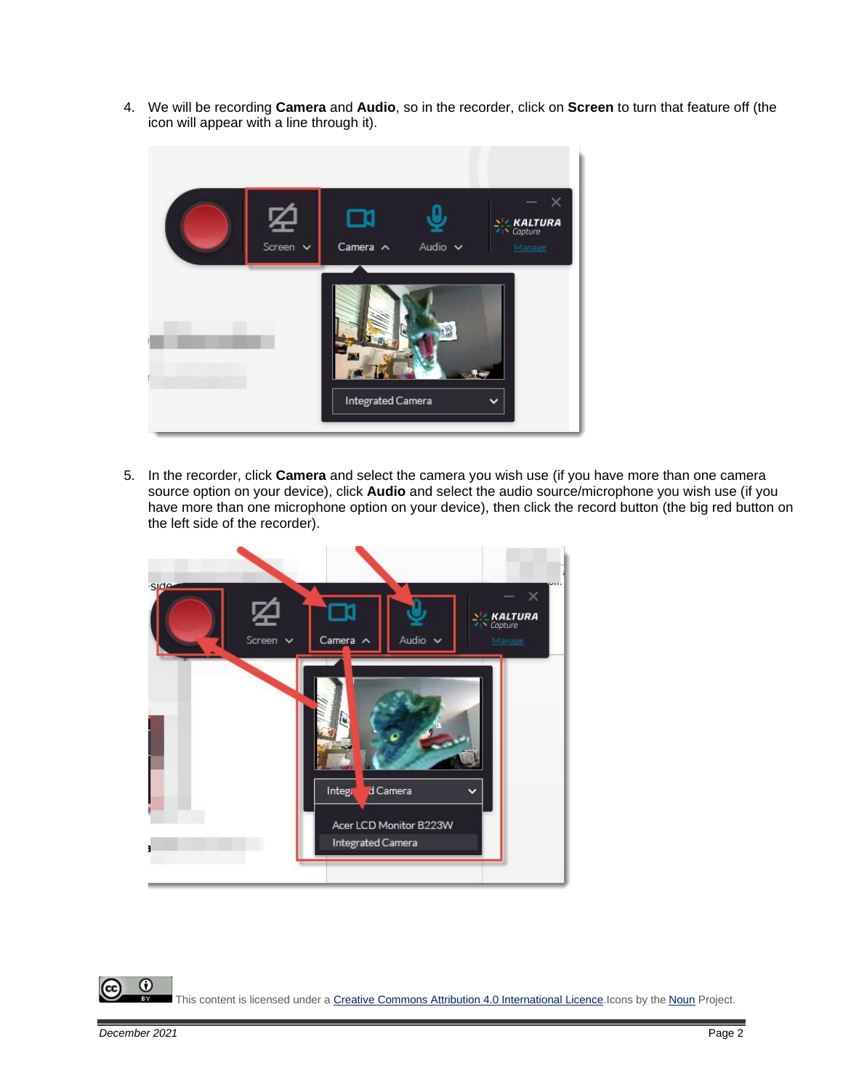4. We will be recording **Camera** and **Audio**, so in the recorder, click on **Screen** to turn that feature off (the icon will appear with a line through it).



5. In the recorder, click **Camera** and select the camera you wish use (if you have more than one camera source option on your device), click **Audio** and select the audio source/microphone you wish use (if you have more than one microphone option on your device), then click the record button (the big red button on the left side of the recorder).



 $\odot$ This content is licensed under [a Creative Commons Attribution 4.0 International Licence.I](https://creativecommons.org/licenses/by/4.0/)cons by the [Noun](https://creativecommons.org/website-icons/) Project.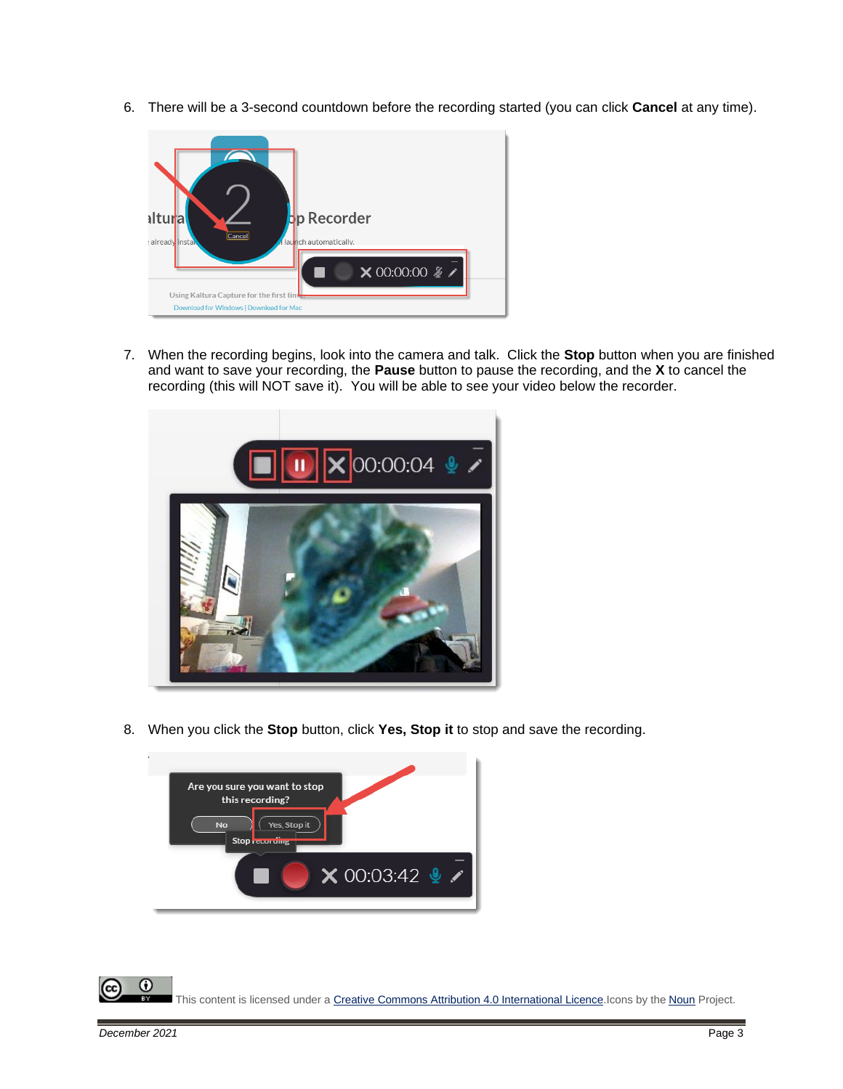6. There will be a 3-second countdown before the recording started (you can click **Cancel** at any time).



7. When the recording begins, look into the camera and talk. Click the **Stop** button when you are finished and want to save your recording, the **Pause** button to pause the recording, and the **X** to cancel the recording (this will NOT save it). You will be able to see your video below the recorder.



8. When you click the **Stop** button, click **Yes, Stop it** to stop and save the recording.



0 This content is licensed under [a Creative Commons Attribution 4.0 International Licence.I](https://creativecommons.org/licenses/by/4.0/)cons by the [Noun](https://creativecommons.org/website-icons/) Project.